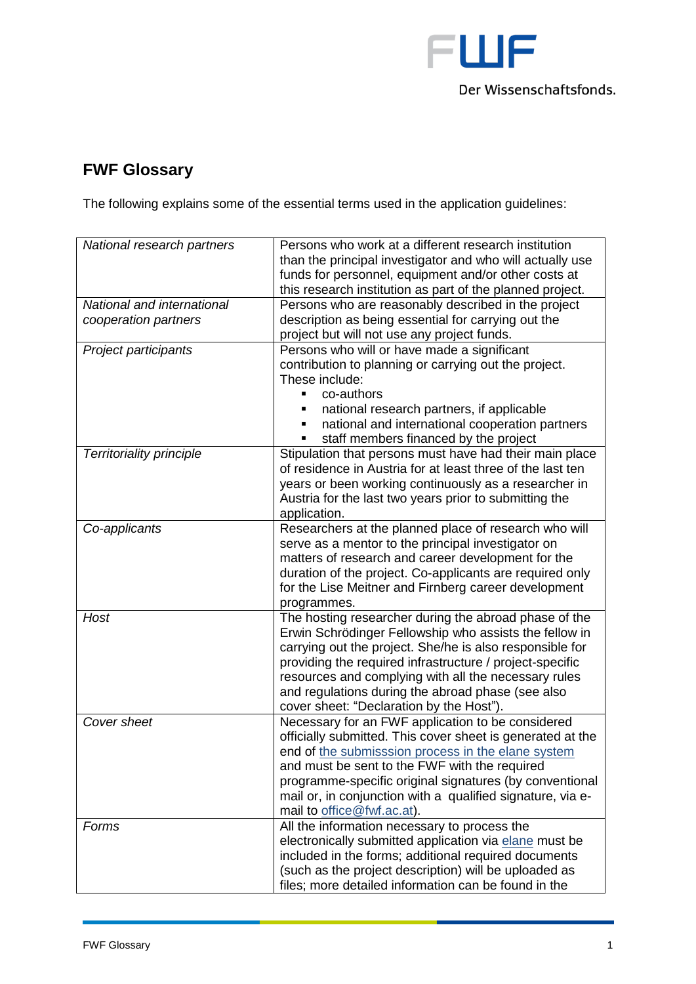

## **FWF Glossary**

The following explains some of the essential terms used in the application guidelines:

| National research partners                         | Persons who work at a different research institution<br>than the principal investigator and who will actually use<br>funds for personnel, equipment and/or other costs at                                                                                                                                                                                                                        |
|----------------------------------------------------|--------------------------------------------------------------------------------------------------------------------------------------------------------------------------------------------------------------------------------------------------------------------------------------------------------------------------------------------------------------------------------------------------|
|                                                    | this research institution as part of the planned project.                                                                                                                                                                                                                                                                                                                                        |
| National and international<br>cooperation partners | Persons who are reasonably described in the project<br>description as being essential for carrying out the                                                                                                                                                                                                                                                                                       |
|                                                    | project but will not use any project funds.                                                                                                                                                                                                                                                                                                                                                      |
| Project participants                               | Persons who will or have made a significant<br>contribution to planning or carrying out the project.<br>These include:<br>co-authors<br>$\blacksquare$                                                                                                                                                                                                                                           |
|                                                    | national research partners, if applicable<br>national and international cooperation partners<br>staff members financed by the project                                                                                                                                                                                                                                                            |
| <b>Territoriality principle</b>                    | Stipulation that persons must have had their main place<br>of residence in Austria for at least three of the last ten<br>years or been working continuously as a researcher in<br>Austria for the last two years prior to submitting the<br>application.                                                                                                                                         |
| Co-applicants                                      | Researchers at the planned place of research who will<br>serve as a mentor to the principal investigator on<br>matters of research and career development for the<br>duration of the project. Co-applicants are required only<br>for the Lise Meitner and Firnberg career development<br>programmes.                                                                                             |
| Host                                               | The hosting researcher during the abroad phase of the<br>Erwin Schrödinger Fellowship who assists the fellow in<br>carrying out the project. She/he is also responsible for<br>providing the required infrastructure / project-specific<br>resources and complying with all the necessary rules<br>and regulations during the abroad phase (see also<br>cover sheet: "Declaration by the Host"). |
| Cover sheet                                        | Necessary for an FWF application to be considered<br>officially submitted. This cover sheet is generated at the<br>end of the submisssion process in the elane system<br>and must be sent to the FWF with the required<br>programme-specific original signatures (by conventional<br>mail or, in conjunction with a qualified signature, via e-<br>mail to office@fwf.ac.at).                    |
| Forms                                              | All the information necessary to process the<br>electronically submitted application via elane must be<br>included in the forms; additional required documents<br>(such as the project description) will be uploaded as<br>files; more detailed information can be found in the                                                                                                                  |